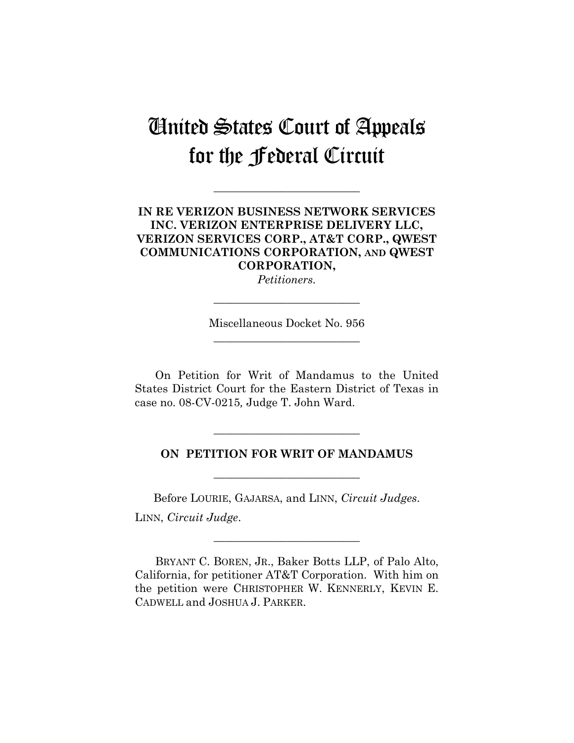## United States Court of Appeals for the Federal Circuit

**\_\_\_\_\_\_\_\_\_\_\_\_\_\_\_\_\_\_\_\_\_\_\_\_\_\_** 

## **IN RE VERIZON BUSINESS NETWORK SERVICES INC. VERIZON ENTERPRISE DELIVERY LLC, VERIZON SERVICES CORP., AT&T CORP., QWEST COMMUNICATIONS CORPORATION, AND QWEST CORPORATION,**

*Petitioners.* 

**\_\_\_\_\_\_\_\_\_\_\_\_\_\_\_\_\_\_\_\_\_\_\_\_\_\_** 

Miscellaneous Docket No. 956 **\_\_\_\_\_\_\_\_\_\_\_\_\_\_\_\_\_\_\_\_\_\_\_\_\_\_** 

On Petition for Writ of Mandamus to the United States District Court for the Eastern District of Texas in case no. 08-CV-0215*,* Judge T. John Ward.

## **ON PETITION FOR WRIT OF MANDAMUS**

**\_\_\_\_\_\_\_\_\_\_\_\_\_\_\_\_\_\_\_\_\_\_\_\_\_\_** 

**\_\_\_\_\_\_\_\_\_\_\_\_\_\_\_\_\_\_\_\_\_\_\_\_\_\_** 

Before LOURIE, GAJARSA, and LINN, *Circuit Judges*. LINN, *Circuit Judge*.

BRYANT C. BOREN, JR., Baker Botts LLP, of Palo Alto, California, for petitioner AT&T Corporation. With him on the petition were CHRISTOPHER W. KENNERLY, KEVIN E. CADWELL and JOSHUA J. PARKER.

**\_\_\_\_\_\_\_\_\_\_\_\_\_\_\_\_\_\_\_\_\_\_\_\_\_\_**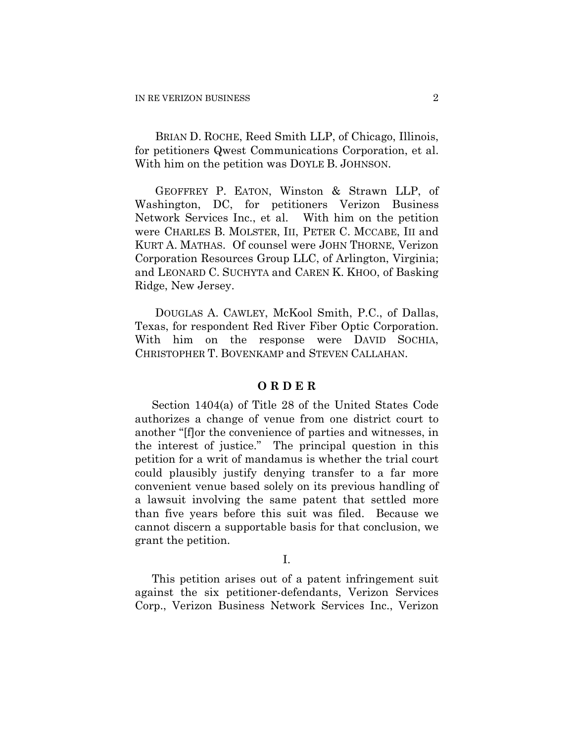BRIAN D. ROCHE, Reed Smith LLP, of Chicago, Illinois, for petitioners Qwest Communications Corporation, et al. With him on the petition was DOYLE B. JOHNSON.

GEOFFREY P. EATON, Winston & Strawn LLP, of Washington, DC, for petitioners Verizon Business Network Services Inc., et al. With him on the petition were CHARLES B. MOLSTER, III, PETER C. MCCABE, III and KURT A. MATHAS. Of counsel were JOHN THORNE, Verizon Corporation Resources Group LLC, of Arlington, Virginia; and LEONARD C. SUCHYTA and CAREN K. KHOO, of Basking Ridge, New Jersey.

DOUGLAS A. CAWLEY, McKool Smith, P.C., of Dallas, Texas, for respondent Red River Fiber Optic Corporation. With him on the response were DAVID SOCHIA, CHRISTOPHER T. BOVENKAMP and STEVEN CALLAHAN.

## **O R D E R**

Section 1404(a) of Title 28 of the United States Code authorizes a change of venue from one district court to another "[f]or the convenience of parties and witnesses, in the interest of justice." The principal question in this petition for a writ of mandamus is whether the trial court could plausibly justify denying transfer to a far more convenient venue based solely on its previous handling of a lawsuit involving the same patent that settled more than five years before this suit was filed. Because we cannot discern a supportable basis for that conclusion, we grant the petition.

I.

This petition arises out of a patent infringement suit against the six petitioner-defendants, Verizon Services Corp., Verizon Business Network Services Inc., Verizon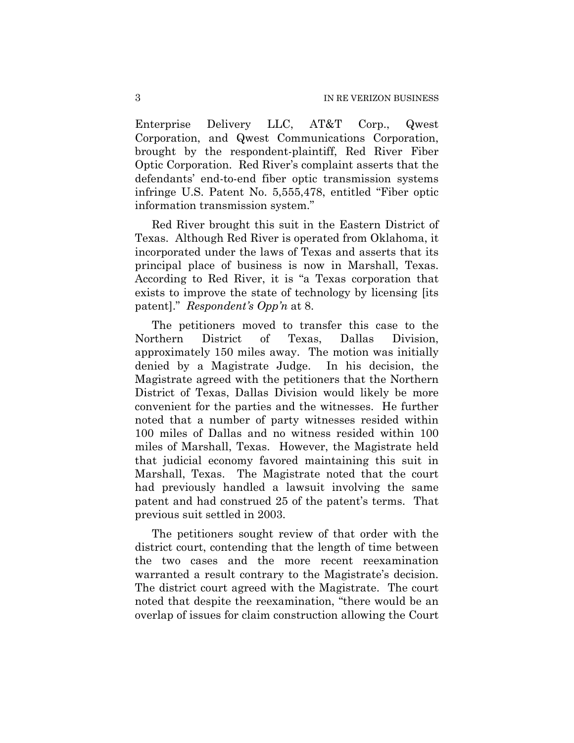Enterprise Delivery LLC, AT&T Corp., Qwest Corporation, and Qwest Communications Corporation, brought by the respondent-plaintiff, Red River Fiber Optic Corporation. Red River's complaint asserts that the defendants' end-to-end fiber optic transmission systems infringe U.S. Patent No. 5,555,478, entitled "Fiber optic information transmission system."

Red River brought this suit in the Eastern District of Texas. Although Red River is operated from Oklahoma, it incorporated under the laws of Texas and asserts that its principal place of business is now in Marshall, Texas. According to Red River, it is "a Texas corporation that exists to improve the state of technology by licensing [its patent]." *Respondent's Opp'n* at 8.

The petitioners moved to transfer this case to the Northern District of Texas, Dallas Division, approximately 150 miles away. The motion was initially denied by a Magistrate Judge. In his decision, the Magistrate agreed with the petitioners that the Northern District of Texas, Dallas Division would likely be more convenient for the parties and the witnesses. He further noted that a number of party witnesses resided within 100 miles of Dallas and no witness resided within 100 miles of Marshall, Texas. However, the Magistrate held that judicial economy favored maintaining this suit in Marshall, Texas. The Magistrate noted that the court had previously handled a lawsuit involving the same patent and had construed 25 of the patent's terms. That previous suit settled in 2003.

The petitioners sought review of that order with the district court, contending that the length of time between the two cases and the more recent reexamination warranted a result contrary to the Magistrate's decision. The district court agreed with the Magistrate. The court noted that despite the reexamination, "there would be an overlap of issues for claim construction allowing the Court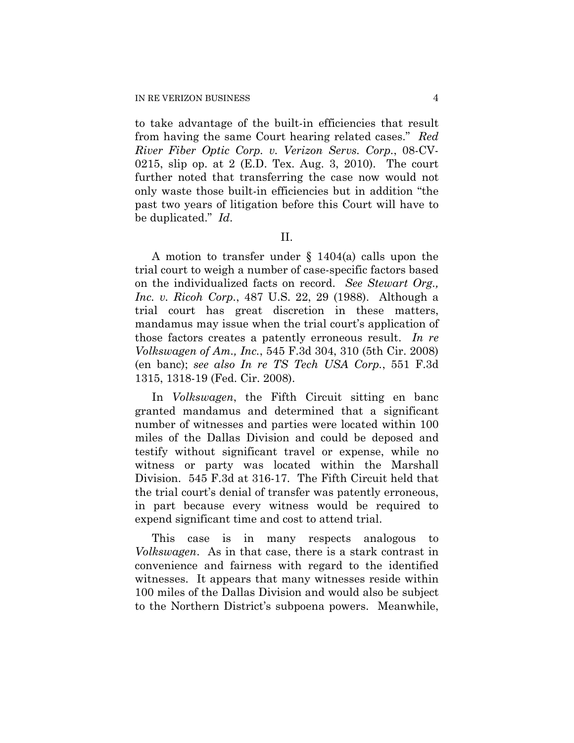to take advantage of the built-in efficiencies that result from having the same Court hearing related cases." *Red River Fiber Optic Corp. v. Verizon Servs. Corp.*, 08-CV-0215, slip op. at 2 (E.D. Tex. Aug. 3, 2010). The court further noted that transferring the case now would not only waste those built-in efficiencies but in addition "the past two years of litigation before this Court will have to be duplicated." *Id*.

II.

A motion to transfer under § 1404(a) calls upon the trial court to weigh a number of case-specific factors based on the individualized facts on record. *See Stewart Org., Inc. v. Ricoh Corp.*, 487 U.S. 22, 29 (1988). Although a trial court has great discretion in these matters, mandamus may issue when the trial court's application of those factors creates a patently erroneous result. *In re Volkswagen of Am., Inc.*, 545 F.3d 304, 310 (5th Cir. 2008) (en banc); *see also In re TS Tech USA Corp.*, 551 F.3d 1315, 1318-19 (Fed. Cir. 2008).

In *Volkswagen*, the Fifth Circuit sitting en banc granted mandamus and determined that a significant number of witnesses and parties were located within 100 miles of the Dallas Division and could be deposed and testify without significant travel or expense, while no witness or party was located within the Marshall Division. 545 F.3d at 316-17. The Fifth Circuit held that the trial court's denial of transfer was patently erroneous, in part because every witness would be required to expend significant time and cost to attend trial.

This case is in many respects analogous to *Volkswagen*. As in that case, there is a stark contrast in convenience and fairness with regard to the identified witnesses. It appears that many witnesses reside within 100 miles of the Dallas Division and would also be subject to the Northern District's subpoena powers. Meanwhile,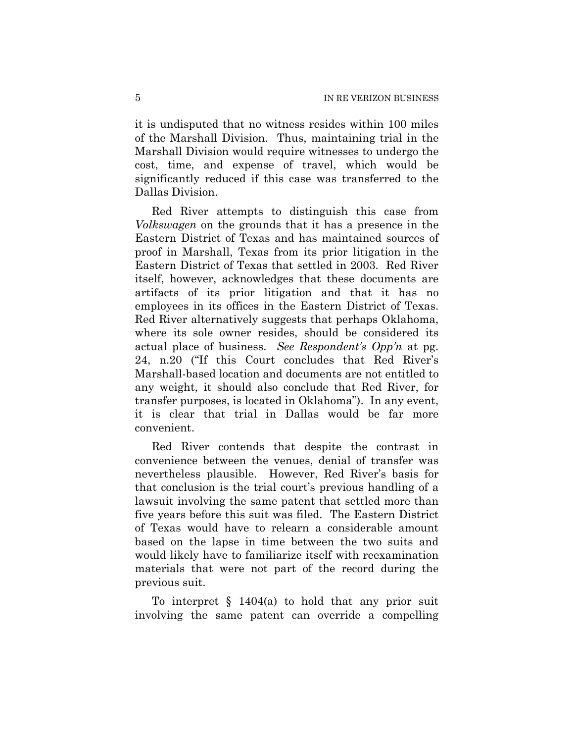it is undisputed that no witness resides within 100 miles of the Marshall Division. Thus, maintaining trial in the Marshall Division would require witnesses to undergo the cost, time, and expense of travel, which would be significantly reduced if this case was transferred to the Dallas Division.

Red River attempts to distinguish this case from *Volkswagen* on the grounds that it has a presence in the Eastern District of Texas and has maintained sources of proof in Marshall, Texas from its prior litigation in the Eastern District of Texas that settled in 2003. Red River itself, however, acknowledges that these documents are artifacts of its prior litigation and that it has no employees in its offices in the Eastern District of Texas. Red River alternatively suggests that perhaps Oklahoma, where its sole owner resides, should be considered its actual place of business. *See Respondent's Opp'n* at pg. 24, n.20 ("If this Court concludes that Red River's Marshall-based location and documents are not entitled to any weight, it should also conclude that Red River, for transfer purposes, is located in Oklahoma"). In any event, it is clear that trial in Dallas would be far more convenient.

Red River contends that despite the contrast in convenience between the venues, denial of transfer was nevertheless plausible. However, Red River's basis for that conclusion is the trial court's previous handling of a lawsuit involving the same patent that settled more than five years before this suit was filed. The Eastern District of Texas would have to relearn a considerable amount based on the lapse in time between the two suits and would likely have to familiarize itself with reexamination materials that were not part of the record during the previous suit.

To interpret  $\S$  1404(a) to hold that any prior suit involving the same patent can override a compelling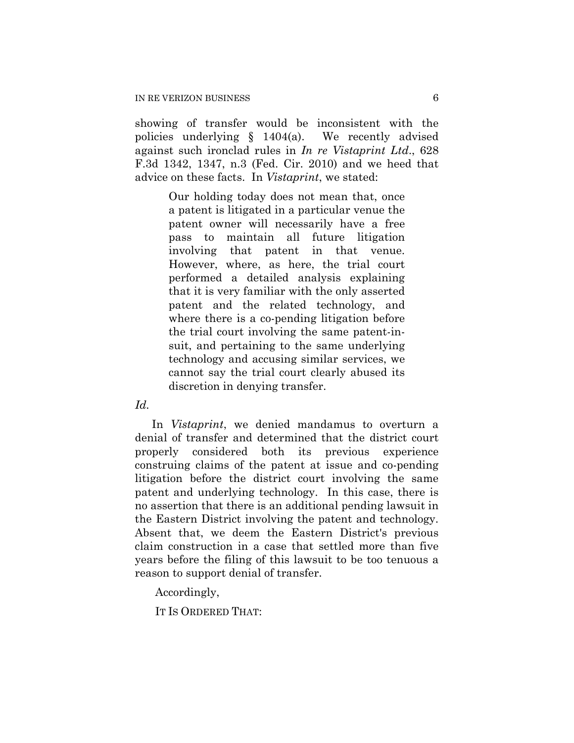showing of transfer would be inconsistent with the policies underlying § 1404(a). We recently advised against such ironclad rules in *In re Vistaprint Ltd*., 628 F.3d 1342, 1347, n.3 (Fed. Cir. 2010) and we heed that advice on these facts. In *Vistaprint*, we stated:

> Our holding today does not mean that, once a patent is litigated in a particular venue the patent owner will necessarily have a free pass to maintain all future litigation involving that patent in that venue. However, where, as here, the trial court performed a detailed analysis explaining that it is very familiar with the only asserted patent and the related technology, and where there is a co-pending litigation before the trial court involving the same patent-insuit, and pertaining to the same underlying technology and accusing similar services, we cannot say the trial court clearly abused its discretion in denying transfer.

*Id.* 

In *Vistaprint*, we denied mandamus to overturn a denial of transfer and determined that the district court properly considered both its previous experience construing claims of the patent at issue and co-pending litigation before the district court involving the same patent and underlying technology. In this case, there is no assertion that there is an additional pending lawsuit in the Eastern District involving the patent and technology. Absent that, we deem the Eastern District's previous claim construction in a case that settled more than five years before the filing of this lawsuit to be too tenuous a reason to support denial of transfer.

Accordingly,

IT IS ORDERED THAT: